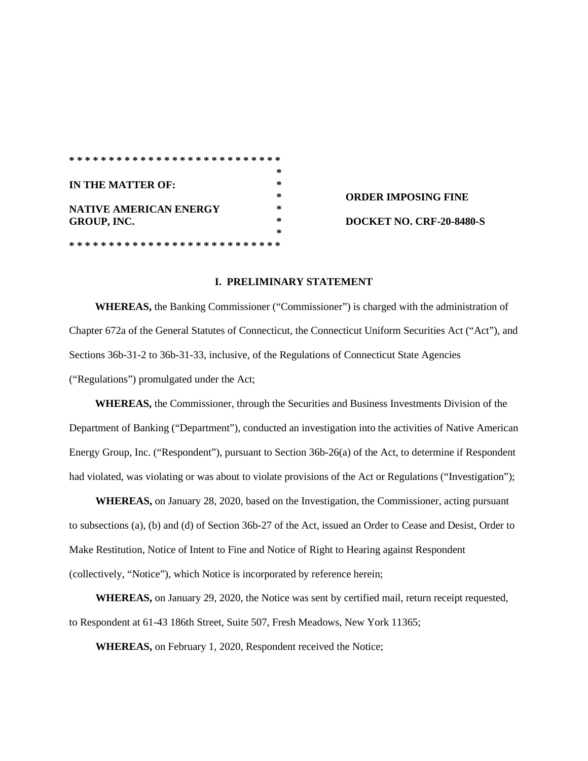|                               | ∗      |
|-------------------------------|--------|
| IN THE MATTER OF:             | ∗      |
|                               | ∗      |
| <b>NATIVE AMERICAN ENERGY</b> | ∗      |
| GROUP, INC.                   | $\ast$ |
|                               | ∗      |
|                               |        |

**ORDER IMPOSING FINE DOCKET NO. CRF-20-8480-S** 

## **I. PRELIMINARY STATEMENT**

**WHEREAS,** the Banking Commissioner ("Commissioner") is charged with the administration of Chapter 672a of the General Statutes of Connecticut, the Connecticut Uniform Securities Act ("Act"), and Sections 36b-31-2 to 36b-31-33, inclusive, of the Regulations of Connecticut State Agencies ("Regulations") promulgated under the Act;

**WHEREAS,** the Commissioner, through the Securities and Business Investments Division of the Department of Banking ("Department"), conducted an investigation into the activities of Native American Energy Group, Inc. ("Respondent"), pursuant to Section 36b-26(a) of the Act, to determine if Respondent had violated, was violating or was about to violate provisions of the Act or Regulations ("Investigation");

**WHEREAS,** on January 28, 2020, based on the Investigation, the Commissioner*,* acting pursuant to subsections (a), (b) and (d) of Section 36b-27 of the Act, issued an Order to Cease and Desist, Order to Make Restitution, Notice of Intent to Fine and Notice of Right to Hearing against Respondent (collectively, "Notice"), which Notice is incorporated by reference herein;

**WHEREAS,** on January 29, 2020, the Notice was sent by certified mail, return receipt requested, to Respondent at 61-43 186th Street, Suite 507, Fresh Meadows, New York 11365;

**WHEREAS,** on February 1, 2020, Respondent received the Notice;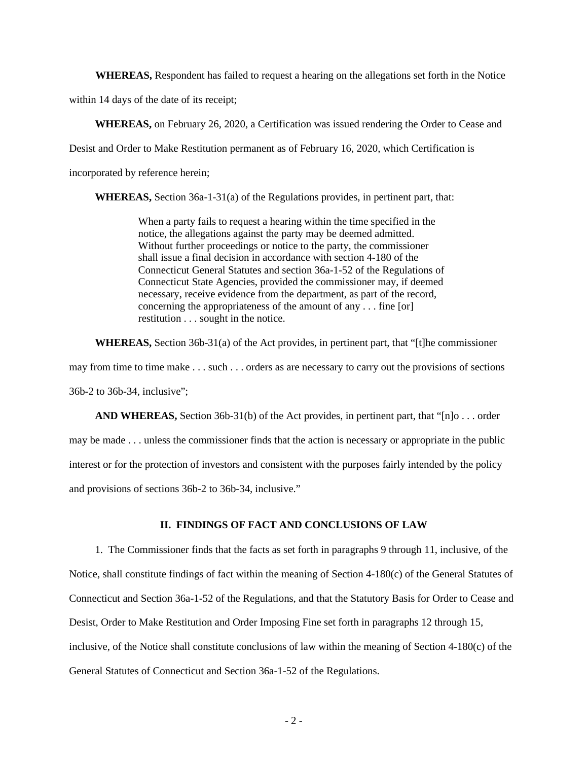**WHEREAS,** Respondent has failed to request a hearing on the allegations set forth in the Notice within 14 days of the date of its receipt;

**WHEREAS,** on February 26, 2020, a Certification was issued rendering the Order to Cease and Desist and Order to Make Restitution permanent as of February 16, 2020, which Certification is incorporated by reference herein;

**WHEREAS,** Section 36a-1-31(a) of the Regulations provides, in pertinent part, that:

When a party fails to request a hearing within the time specified in the notice, the allegations against the party may be deemed admitted. Without further proceedings or notice to the party, the commissioner shall issue a final decision in accordance with section 4-180 of the Connecticut General Statutes and section 36a-1-52 of the Regulations of Connecticut State Agencies, provided the commissioner may, if deemed necessary, receive evidence from the department, as part of the record, concerning the appropriateness of the amount of any . . . fine [or] restitution . . . sought in the notice.

**WHEREAS,** Section 36b-31(a) of the Act provides, in pertinent part, that "[t]he commissioner may from time to time make . . . such . . . orders as are necessary to carry out the provisions of sections 36b-2 to 36b-34, inclusive";

**AND WHEREAS,** Section 36b-31(b) of the Act provides, in pertinent part, that "[n]o . . . order may be made . . . unless the commissioner finds that the action is necessary or appropriate in the public interest or for the protection of investors and consistent with the purposes fairly intended by the policy and provisions of sections 36b-2 to 36b-34, inclusive."

## **II. FINDINGS OF FACT AND CONCLUSIONS OF LAW**

1. The Commissioner finds that the facts as set forth in paragraphs 9 through 11, inclusive, of the Notice, shall constitute findings of fact within the meaning of Section 4-180(c) of the General Statutes of Connecticut and Section 36a-1-52 of the Regulations, and that the Statutory Basis for Order to Cease and Desist, Order to Make Restitution and Order Imposing Fine set forth in paragraphs 12 through 15, inclusive, of the Notice shall constitute conclusions of law within the meaning of Section 4-180(c) of the General Statutes of Connecticut and Section 36a-1-52 of the Regulations.